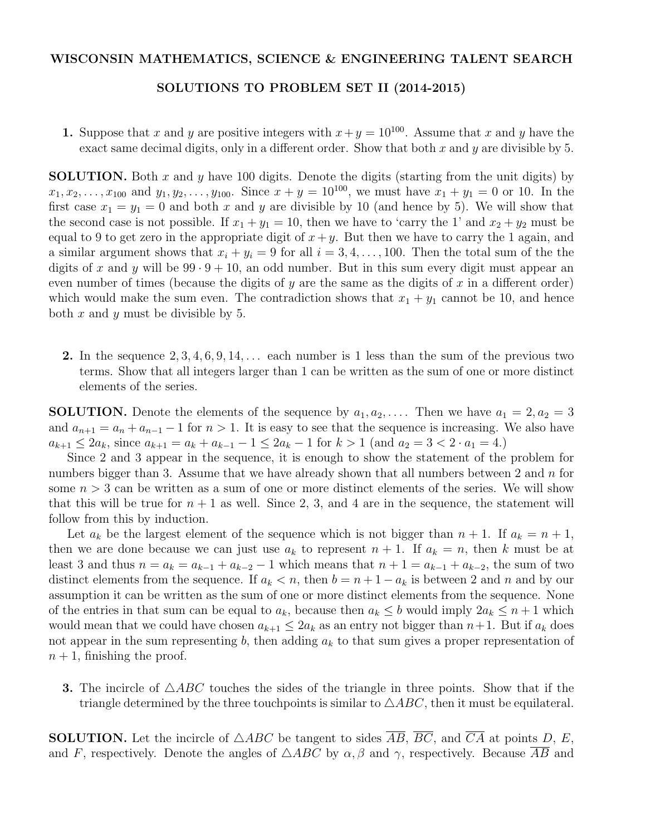## WISCONSIN MATHEMATICS, SCIENCE & ENGINEERING TALENT SEARCH

## SOLUTIONS TO PROBLEM SET II (2014-2015)

1. Suppose that *x* and *y* are positive integers with  $x + y = 10^{100}$ . Assume that *x* and *y* have the exact same decimal digits, only in a different order. Show that both  $x$  and  $y$  are divisible by 5.

SOLUTION. Both *x* and *y* have 100 digits. Denote the digits (starting from the unit digits) by  $x_1, x_2, \ldots, x_{100}$  and  $y_1, y_2, \ldots, y_{100}$ . Since  $x + y = 10^{100}$ , we must have  $x_1 + y_1 = 0$  or 10. In the first case  $x_1 = y_1 = 0$  and both x and y are divisible by 10 (and hence by 5). We will show that the second case is not possible. If  $x_1 + y_1 = 10$ , then we have to 'carry the 1' and  $x_2 + y_2$  must be equal to 9 to get zero in the appropriate digit of  $x + y$ . But then we have to carry the 1 again, and a similar argument shows that  $x_i + y_i = 9$  for all  $i = 3, 4, \ldots, 100$ . Then the total sum of the the digits of x and y will be  $99 \cdot 9 + 10$ , an odd number. But in this sum every digit must appear an even number of times (because the digits of  $y$  are the same as the digits of  $x$  in a different order) which would make the sum even. The contradiction shows that  $x_1 + y_1$  cannot be 10, and hence both *x* and *y* must be divisible by 5.

2. In the sequence 2*,* 3*,* 4*,* 6*,* 9*,* 14*,...* each number is 1 less than the sum of the previous two terms. Show that all integers larger than 1 can be written as the sum of one or more distinct elements of the series.

**SOLUTION.** Denote the elements of the sequence by  $a_1, a_2, \ldots$ . Then we have  $a_1 = 2, a_2 = 3$ and  $a_{n+1} = a_n + a_{n-1} - 1$  for  $n > 1$ . It is easy to see that the sequence is increasing. We also have  $a_{k+1} \leq 2a_k$ , since  $a_{k+1} = a_k + a_{k-1} - 1 \leq 2a_k - 1$  for  $k > 1$  (and  $a_2 = 3 < 2 \cdot a_1 = 4$ .)

Since 2 and 3 appear in the sequence, it is enough to show the statement of the problem for numbers bigger than 3. Assume that we have already shown that all numbers between 2 and *n* for some  $n > 3$  can be written as a sum of one or more distinct elements of the series. We will show that this will be true for  $n + 1$  as well. Since 2, 3, and 4 are in the sequence, the statement will follow from this by induction.

Let  $a_k$  be the largest element of the sequence which is not bigger than  $n + 1$ . If  $a_k = n + 1$ , then we are done because we can just use  $a_k$  to represent  $n + 1$ . If  $a_k = n$ , then k must be at least 3 and thus  $n = a_k = a_{k-1} + a_{k-2} - 1$  which means that  $n + 1 = a_{k-1} + a_{k-2}$ , the sum of two distinct elements from the sequence. If  $a_k < n$ , then  $b = n + 1 - a_k$  is between 2 and *n* and by our assumption it can be written as the sum of one or more distinct elements from the sequence. None of the entries in that sum can be equal to  $a_k$ , because then  $a_k \leq b$  would imply  $2a_k \leq n+1$  which would mean that we could have chosen  $a_{k+1} \leq 2a_k$  as an entry not bigger than  $n+1$ . But if  $a_k$  does not appear in the sum representing *b*, then adding *a<sup>k</sup>* to that sum gives a proper representation of  $n+1$ , finishing the proof.

**3.** The incircle of  $\triangle ABC$  touches the sides of the triangle in three points. Show that if the triangle determined by the three touch points is similar to  $\triangle ABC$ , then it must be equilateral.

**SOLUTION.** Let the incircle of  $\triangle ABC$  be tangent to sides  $\overline{AB}$ ,  $\overline{BC}$ , and  $\overline{CA}$  at points *D*, *E*, and *F*, respectively. Denote the angles of  $\triangle ABC$  by  $\alpha$ ,  $\beta$  and  $\gamma$ , respectively. Because  $\overline{AB}$  and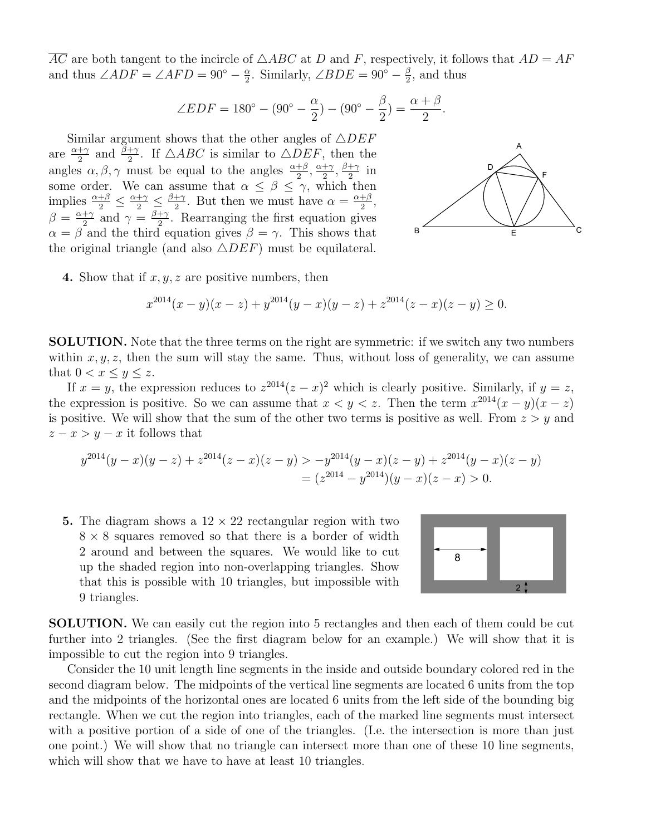$\overline{AC}$  are both tangent to the incircle of  $\triangle ABC$  at *D* and *F*, respectively, it follows that  $AD = AF$ and thus  $\angle ADF = \angle AFD = 90^{\circ} - \frac{\alpha}{2}$ . Similarly,  $\angle BDE = 90^{\circ} - \frac{\beta}{2}$ , and thus

$$
\angle EDF = 180^{\circ} - (90^{\circ} - \frac{\alpha}{2}) - (90^{\circ} - \frac{\beta}{2}) = \frac{\alpha + \beta}{2}.
$$

Similar argument shows that the other angles of  $\triangle DEF$ are  $\frac{\alpha+\gamma}{2}$  and  $\frac{\beta+\gamma}{2}$ . If  $\triangle ABC$  is similar to  $\triangle DEF$ , then the angles  $\alpha, \beta, \gamma$  must be equal to the angles  $\frac{\alpha+\beta}{2}, \frac{\alpha+\gamma}{2}, \frac{\beta+\gamma}{2}$  in some order. We can assume that  $\alpha \leq \beta \leq \gamma$ , which then implies  $\frac{\alpha+\beta}{2} \leq \frac{\alpha+\gamma}{2} \leq \frac{\beta+\gamma}{2}$ . But then we must have  $\alpha = \frac{\alpha+\beta}{2}$ ,  $\beta = \frac{\alpha + \gamma}{2}$  and  $\gamma = \frac{\beta + \gamma}{2}$ . Rearranging the first equation gives  $\alpha = \beta$  and the third equation gives  $\beta = \gamma$ . This shows that the original triangle (and also  $\triangle DEF$ ) must be equilateral.



4. Show that if *x, y, z* are positive numbers, then

$$
x^{2014}(x - y)(x - z) + y^{2014}(y - x)(y - z) + z^{2014}(z - x)(z - y) \ge 0.
$$

SOLUTION. Note that the three terms on the right are symmetric: if we switch any two numbers within  $x, y, z$ , then the sum will stay the same. Thus, without loss of generality, we can assume that  $0 < x \leq y \leq z$ .

If  $x = y$ , the expression reduces to  $z^{2014}(z - x)^2$  which is clearly positive. Similarly, if  $y = z$ , the expression is positive. So we can assume that  $x < y < z$ . Then the term  $x^{2014}(x - y)(x - z)$ is positive. We will show that the sum of the other two terms is positive as well. From  $z > y$  and  $z - x > y - x$  it follows that

$$
y^{2014}(y-x)(y-z) + z^{2014}(z-x)(z-y) > -y^{2014}(y-x)(z-y) + z^{2014}(y-x)(z-y) \\
= (z^{2014} - y^{2014})(y-x)(z-x) > 0.
$$

5. The diagram shows a  $12 \times 22$  rectangular region with two  $8 \times 8$  squares removed so that there is a border of width 2 around and between the squares. We would like to cut up the shaded region into non-overlapping triangles. Show that this is possible with 10 triangles, but impossible with 9 triangles.



SOLUTION. We can easily cut the region into 5 rectangles and then each of them could be cut further into 2 triangles. (See the first diagram below for an example.) We will show that it is impossible to cut the region into 9 triangles.

Consider the 10 unit length line segments in the inside and outside boundary colored red in the second diagram below. The midpoints of the vertical line segments are located 6 units from the top and the midpoints of the horizontal ones are located 6 units from the left side of the bounding big rectangle. When we cut the region into triangles, each of the marked line segments must intersect with a positive portion of a side of one of the triangles. (I.e. the intersection is more than just one point.) We will show that no triangle can intersect more than one of these 10 line segments, which will show that we have to have at least 10 triangles.